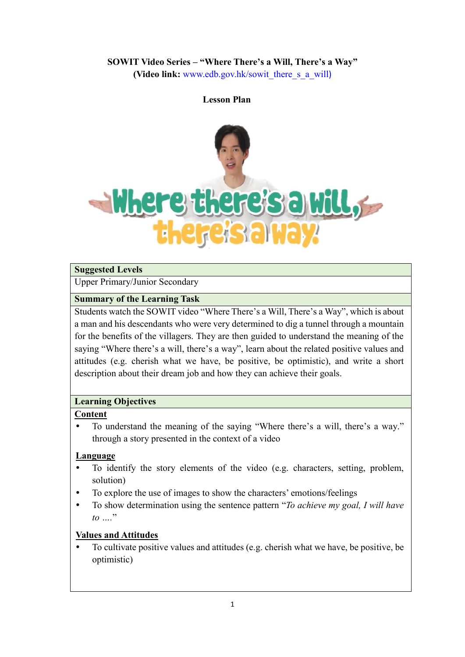# **SOWIT Video Series – "Where There's a Will, There's a Way"**

**(Video link:** [www.edb.gov.hk/sowit\\_there\\_s\\_a\\_will](http://www.edb.gov.hk/sowit_there_s_a_will))

#### **Lesson Plan**



#### **Suggested Levels**

Upper Primary/Junior Secondary

#### **Summary of the Learning Task**

Students watch the SOWIT video "Where There's a Will, There's a Way", which is about a man and his descendants who were very determined to dig a tunnel through a mountain for the benefits of the villagers. They are then guided to understand the meaning of the saying "Where there's a will, there's a way", learn about the related positive values and attitudes (e.g. cherish what we have, be positive, be optimistic), and write a short description about their dream job and how they can achieve their goals.

#### **Learning Objectives**

#### **Content**

 To understand the meaning of the saying "Where there's a will, there's a way." through a story presented in the context of a video

#### **Language**

- To identify the story elements of the video (e.g. characters, setting, problem, solution)
- To explore the use of images to show the characters' emotions/feelings
- To show determination using the sentence pattern "*To achieve my goal, I will have to ….*"

### **Values and Attitudes**

 To cultivate positive values and attitudes (e.g. cherish what we have, be positive, be optimistic)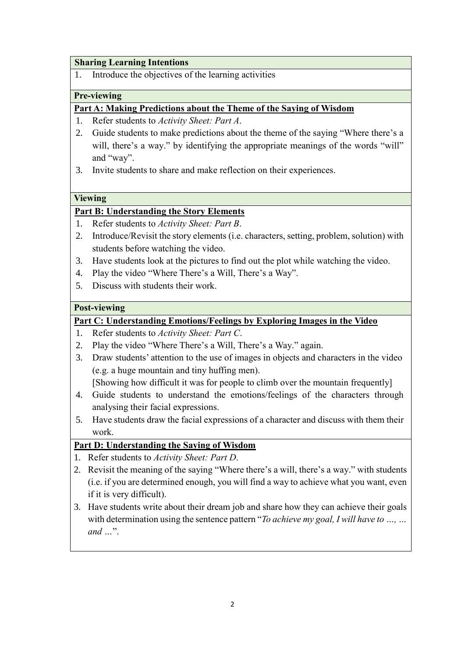#### **Sharing Learning Intentions**

1. Introduce the objectives of the learning activities

#### **Pre-viewing**

#### **Part A: Making Predictions about the Theme of the Saying of Wisdom**

- 1. Refer students to *Activity Sheet: Part A*.
- 2. Guide students to make predictions about the theme of the saying "Where there's a will, there's a way." by identifying the appropriate meanings of the words "will" and "way".
- 3. Invite students to share and make reflection on their experiences.

#### **Viewing**

#### **Part B: Understanding the Story Elements**

- 1. Refer students to *Activity Sheet: Part B*.
- 2. Introduce/Revisit the story elements (i.e. characters, setting, problem, solution) with students before watching the video.
- 3. Have students look at the pictures to find out the plot while watching the video.
- 4. Play the video "Where There's a Will, There's a Way".
- 5. Discuss with students their work.

#### **Post-viewing**

### **Part C: Understanding Emotions/Feelings by Exploring Images in the Video**

- 1. Refer students to *Activity Sheet: Part C*.
- 2. Play the video "Where There's a Will, There's a Way." again.
- 3. Draw students' attention to the use of images in objects and characters in the video (e.g. a huge mountain and tiny huffing men).

[Showing how difficult it was for people to climb over the mountain frequently]

- 4. Guide students to understand the emotions/feelings of the characters through analysing their facial expressions.
- 5. Have students draw the facial expressions of a character and discuss with them their work.

### **Part D: Understanding the Saying of Wisdom**

- 1. Refer students to *Activity Sheet: Part D*.
- 2. Revisit the meaning of the saying "Where there's a will, there's a way." with students (i.e. if you are determined enough, you will find a way to achieve what you want, even if it is very difficult).
- 3. Have students write about their dream job and share how they can achieve their goals with determination using the sentence pattern "*To achieve my goal, I will have to ..., ... and …*".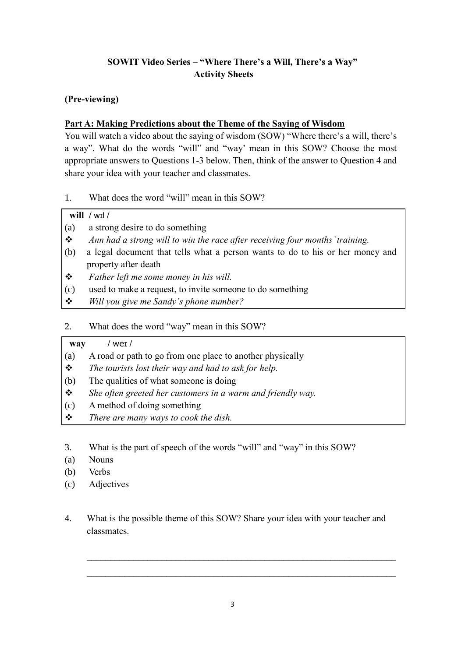# **SOWIT Video Series – "Where There's a Will, There's a Way" Activity Sheets**

### **(Pre-viewing)**

### **Part A: Making Predictions about the Theme of the Saying of Wisdom**

You will watch a video about the saying of wisdom (SOW) "Where there's a will, there's a way". What do the words "will" and "way' mean in this SOW? Choose the most appropriate answers to Questions 1-3 below. Then, think of the answer to Question 4 and share your idea with your teacher and classmates.

1. What does the word "will" mean in this SOW?

# **will /** wɪl **/**

- (a) a strong desire to do something
- *Ann had a strong will to win the race after receiving four months' training.*
- (b) a legal document that tells what a person wants to do to his or her money and property after death
- *Father left me some money in his will.*
- (c) used to make a request, to invite someone to do something
- *Will you give me Sandy's phone number?*
- 2. What does the word "way" mean in this SOW?

### **way /** weɪ **/**

- (a) A road or path to go from one place to another physically
- *The tourists lost their way and had to ask for help.*
- (b) The qualities of what someone is doing
- *She often greeted her customers in a warm and friendly way.*
- (c) A method of doing something
- *There are many ways to cook the dish.*
- 3. What is the part of speech of the words "will" and "way" in this SOW?
- (a) Nouns
- (b) Verbs
- (c) Adjectives
- 4. What is the possible theme of this SOW? Share your idea with your teacher and classmates.

 $\mathcal{L}_\mathcal{L} = \{ \mathcal{L}_\mathcal{L} = \{ \mathcal{L}_\mathcal{L} = \{ \mathcal{L}_\mathcal{L} = \{ \mathcal{L}_\mathcal{L} = \{ \mathcal{L}_\mathcal{L} = \{ \mathcal{L}_\mathcal{L} = \{ \mathcal{L}_\mathcal{L} = \{ \mathcal{L}_\mathcal{L} = \{ \mathcal{L}_\mathcal{L} = \{ \mathcal{L}_\mathcal{L} = \{ \mathcal{L}_\mathcal{L} = \{ \mathcal{L}_\mathcal{L} = \{ \mathcal{L}_\mathcal{L} = \{ \mathcal{L}_\mathcal{$ 

 $\mathcal{L}_\text{max} = \mathcal{L}_\text{max} = \mathcal{L}_\text{max} = \mathcal{L}_\text{max} = \mathcal{L}_\text{max} = \mathcal{L}_\text{max} = \mathcal{L}_\text{max} = \mathcal{L}_\text{max} = \mathcal{L}_\text{max} = \mathcal{L}_\text{max} = \mathcal{L}_\text{max} = \mathcal{L}_\text{max} = \mathcal{L}_\text{max} = \mathcal{L}_\text{max} = \mathcal{L}_\text{max} = \mathcal{L}_\text{max} = \mathcal{L}_\text{max} = \mathcal{L}_\text{max} = \mathcal{$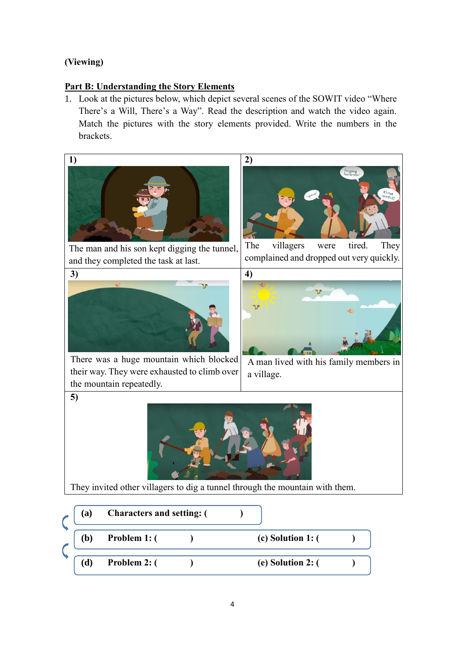## **(Viewing)**

**5)**

 $\overline{\phantom{a}}$ 

### **Part B: Understanding the Story Elements**

1. Look at the pictures below, which depict several scenes of the SOWIT video "Where There's a Will, There's a Way". Read the description and watch the video again. Match the pictures with the story elements provided. Write the numbers in the brackets.

**2)**



The man and his son kept digging the tunnel, and they completed the task at last.







There was a huge mountain which blocked their way. They were exhausted to climb over the mountain repeatedly.

A man lived with his family members in a village.



They invited other villagers to dig a tunnel through the mountain with them.

| (a) | <b>Characters and setting: (</b> |                       |  |
|-----|----------------------------------|-----------------------|--|
| (b) | Problem 1: (                     | $(c)$ Solution 1: $($ |  |
| (d) | Problem 2: (                     | (e) Solution 2: (     |  |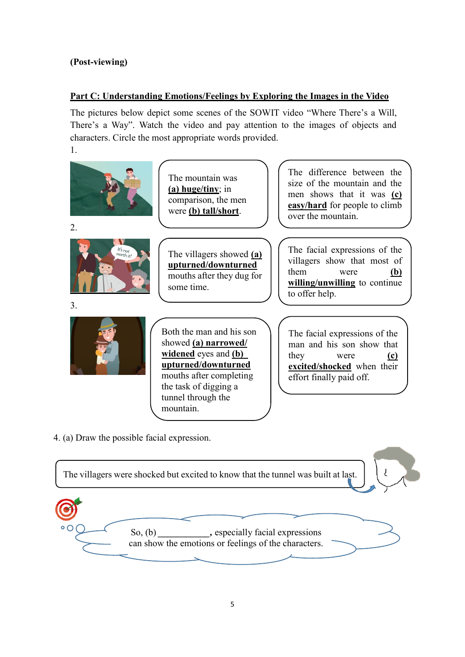## **(Post-viewing)**

### **Part C: Understanding Emotions/Feelings by Exploring the Images in the Video**

The pictures below depict some scenes of the SOWIT video "Where There's a Will, There's a Way". Watch the video and pay attention to the images of objects and characters. Circle the most appropriate words provided.



4. (a) Draw the possible facial expression.

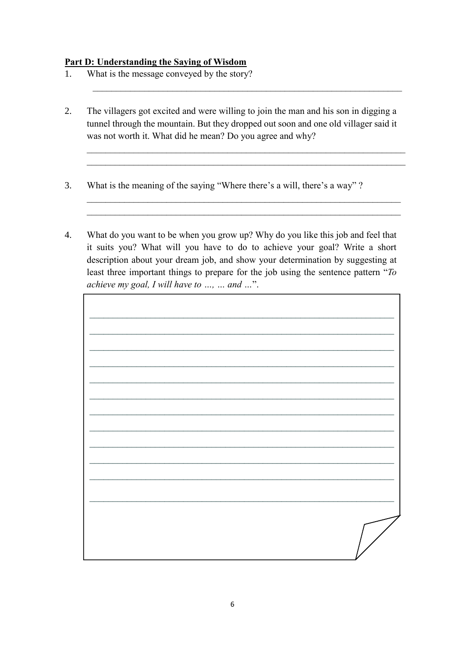### **Part D: Understanding the Saying of Wisdom**

- 1. What is the message conveyed by the story?
- 2. The villagers got excited and were willing to join the man and his son in digging a tunnel through the mountain. But they dropped out soon and one old villager said it was not worth it. What did he mean? Do you agree and why?

 $\_$  , and the set of the set of the set of the set of the set of the set of the set of the set of the set of the set of the set of the set of the set of the set of the set of the set of the set of the set of the set of th

 $\mathcal{L}_\mathcal{L} = \mathcal{L}_\mathcal{L} = \mathcal{L}_\mathcal{L} = \mathcal{L}_\mathcal{L} = \mathcal{L}_\mathcal{L} = \mathcal{L}_\mathcal{L} = \mathcal{L}_\mathcal{L} = \mathcal{L}_\mathcal{L} = \mathcal{L}_\mathcal{L} = \mathcal{L}_\mathcal{L} = \mathcal{L}_\mathcal{L} = \mathcal{L}_\mathcal{L} = \mathcal{L}_\mathcal{L} = \mathcal{L}_\mathcal{L} = \mathcal{L}_\mathcal{L} = \mathcal{L}_\mathcal{L} = \mathcal{L}_\mathcal{L}$  $\mathcal{L}_\mathcal{L} = \{ \mathcal{L}_\mathcal{L} = \{ \mathcal{L}_\mathcal{L} = \{ \mathcal{L}_\mathcal{L} = \{ \mathcal{L}_\mathcal{L} = \{ \mathcal{L}_\mathcal{L} = \{ \mathcal{L}_\mathcal{L} = \{ \mathcal{L}_\mathcal{L} = \{ \mathcal{L}_\mathcal{L} = \{ \mathcal{L}_\mathcal{L} = \{ \mathcal{L}_\mathcal{L} = \{ \mathcal{L}_\mathcal{L} = \{ \mathcal{L}_\mathcal{L} = \{ \mathcal{L}_\mathcal{L} = \{ \mathcal{L}_\mathcal{$ 

 $\mathcal{L}_\mathcal{L}$  , and the contribution of the contribution of the contribution of the contribution of the contribution of the contribution of the contribution of the contribution of the contribution of the contribution of  $\mathcal{L}_\mathcal{L}$  , and the contribution of the contribution of the contribution of the contribution of the contribution of the contribution of the contribution of the contribution of the contribution of the contribution of

- 3. What is the meaning of the saying "Where there's a will, there's a way" ?
- 4. What do you want to be when you grow up? Why do you like this job and feel that it suits you? What will you have to do to achieve your goal? Write a short description about your dream job, and show your determination by suggesting at least three important things to prepare for the job using the sentence pattern "*To achieve my goal, I will have to …, … and …*".